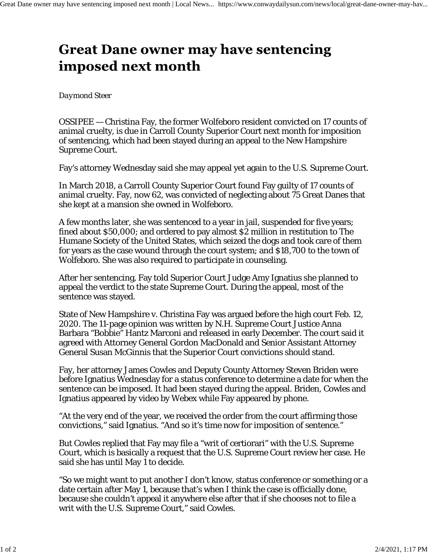## **Great Dane owner may have sentencing** imposed next month

## *Daymond Steer*

OSSIPEE — Christina Fay, the former Wolfeboro resident convicted on 17 counts of animal cruelty, is due in Carroll County Superior Court next month for imposition of sentencing, which had been stayed during an appeal to the New Hampshire Supreme Court.

Fay's attorney Wednesday said she may appeal yet again to the U.S. Supreme Court.

In March 2018, a Carroll County Superior Court found Fay guilty of 17 counts of animal cruelty. Fay, now 62, was convicted of neglecting about 75 Great Danes that she kept at a mansion she owned in Wolfeboro.

A few months later, she was sentenced to a year in jail, suspended for five years; fined about \$50,000; and ordered to pay almost \$2 million in restitution to The Humane Society of the United States, which seized the dogs and took care of them for years as the case wound through the court system; and \$18,700 to the town of Wolfeboro. She was also required to participate in counseling.

After her sentencing, Fay told Superior Court Judge Amy Ignatius she planned to appeal the verdict to the state Supreme Court. During the appeal, most of the sentence was stayed.

State of New Hampshire v. Christina Fay was argued before the high court Feb. 12, 2020. The 11-page opinion was written by N.H. Supreme Court Justice Anna Barbara "Bobbie" Hantz Marconi and released in early December. The court said it agreed with Attorney General Gordon MacDonald and Senior Assistant Attorney General Susan McGinnis that the Superior Court convictions should stand.

Fay, her attorney James Cowles and Deputy County Attorney Steven Briden were before Ignatius Wednesday for a status conference to determine a date for when the sentence can be imposed. It had been stayed during the appeal. Briden, Cowles and Ignatius appeared by video by Webex while Fay appeared by phone.

"At the very end of the year, we received the order from the court affirming those convictions," said Ignatius. "And so it's time now for imposition of sentence."

But Cowles replied that Fay may file a "writ of certiorari" with the U.S. Supreme Court, which is basically a request that the U.S. Supreme Court review her case. He said she has until May 1 to decide.

"So we might want to put another I don't know, status conference or something or a date certain after May 1, because that's when I think the case is officially done, because she couldn't appeal it anywhere else after that if she chooses not to file a writ with the U.S. Supreme Court," said Cowles.